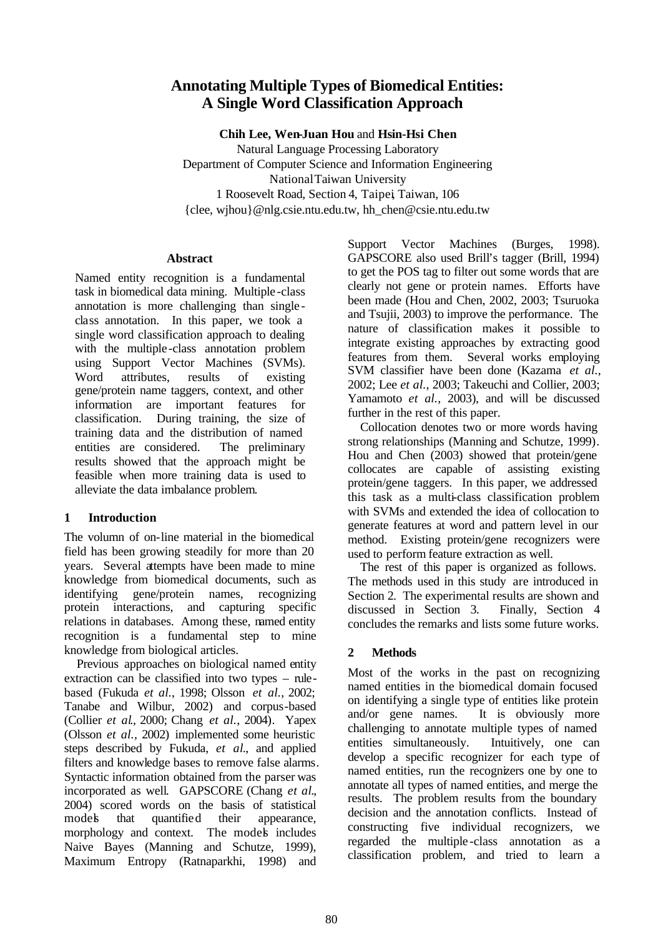# **Annotating Multiple Types of Biomedical Entities: A Single Word Classification Approach**

**Chih Lee, Wen-Juan Hou** and **Hsin-Hsi Chen** Natural Language Processing Laboratory Department of Computer Science and Information Engineering National Taiwan University 1 Roosevelt Road, Section 4, Taipei, Taiwan, 106 {clee, wjhou}@nlg.csie.ntu.edu.tw, hh\_chen@csie.ntu.edu.tw

## **Abstract**

Named entity recognition is a fundamental task in biomedical data mining. Multiple -class annotation is more challenging than single class annotation. In this paper, we took a single word classification approach to dealing with the multiple -class annotation problem using Support Vector Machines (SVMs). Word attributes, results of existing gene/protein name taggers, context, and other information are important features for classification. During training, the size of training data and the distribution of named entities are considered. The preliminary results showed that the approach might be feasible when more training data is used to alleviate the data imbalance problem.

## **1 Introduction**

The volumn of on-line material in the biomedical field has been growing steadily for more than 20 years. Several attempts have been made to mine knowledge from biomedical documents, such as identifying gene/protein names, recognizing protein interactions, and capturing specific relations in databases. Among these, named entity recognition is a fundamental step to mine knowledge from biological articles.

Previous approaches on biological named entity extraction can be classified into two types – rulebased (Fukuda *et al.*, 1998; Olsson *et al.*, 2002; Tanabe and Wilbur, 2002) and corpus-based (Collier *et al*., 2000; Chang *et al.*, 2004). Yapex (Olsson *et al.*, 2002) implemented some heuristic steps described by Fukuda, *et al*., and applied filters and knowledge bases to remove false alarms. Syntactic information obtained from the parser was incorporated as well. GAPSCORE (Chang *et al*., 2004) scored words on the basis of statistical models that quantified their appearance, morphology and context. The models includes Naive Bayes (Manning and Schutze, 1999), Maximum Entropy (Ratnaparkhi, 1998) and

Support Vector Machines (Burges, 1998). GAPSCORE also used Brill's tagger (Brill, 1994) to get the POS tag to filter out some words that are clearly not gene or protein names. Efforts have been made (Hou and Chen, 2002, 2003; Tsuruoka and Tsujii, 2003) to improve the performance. The nature of classification makes it possible to integrate existing approaches by extracting good features from them. Several works employing SVM classifier have been done (Kazama *et al.*, 2002; Lee *et al.*, 2003; Takeuchi and Collier, 2003; Yamamoto *et al.*, 2003), and will be discussed further in the rest of this paper.

Collocation denotes two or more words having strong relationships (Manning and Schutze, 1999). Hou and Chen (2003) showed that protein/gene collocates are capable of assisting existing protein/gene taggers. In this paper, we addressed this task as a multi-class classification problem with SVMs and extended the idea of collocation to generate features at word and pattern level in our method. Existing protein/gene recognizers were used to perform feature extraction as well.

The rest of this paper is organized as follows. The methods used in this study are introduced in Section 2. The experimental results are shown and discussed in Section 3. Finally, Section 4 concludes the remarks and lists some future works.

## **2 Methods**

Most of the works in the past on recognizing named entities in the biomedical domain focused on identifying a single type of entities like protein and/or gene names. It is obviously more challenging to annotate multiple types of named entities simultaneously. Intuitively, one can develop a specific recognizer for each type of named entities, run the recognizers one by one to annotate all types of named entities, and merge the results. The problem results from the boundary decision and the annotation conflicts. Instead of constructing five individual recognizers, we regarded the multiple -class annotation as a classification problem, and tried to learn a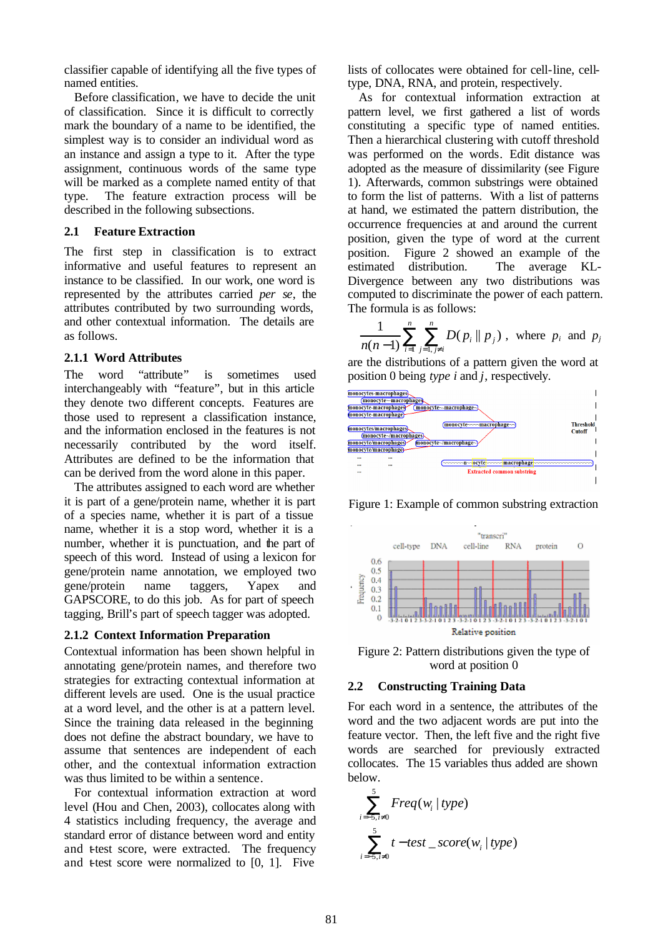classifier capable of identifying all the five types of named entities.

Before classification, we have to decide the unit of classification. Since it is difficult to correctly mark the boundary of a name to be identified, the simplest way is to consider an individual word as an instance and assign a type to it. After the type assignment, continuous words of the same type will be marked as a complete named entity of that type. The feature extraction process will be described in the following subsections.

#### **2.1 Feature Extraction**

The first step in classification is to extract informative and useful features to represent an instance to be classified. In our work, one word is represented by the attributes carried *per se*, the attributes contributed by two surrounding words, and other contextual information. The details are as follows.

## **2.1.1 Word Attributes**

The word "attribute" is sometimes used interchangeably with "feature", but in this article they denote two different concepts. Features are those used to represent a classification instance, and the information enclosed in the features is not necessarily contributed by the word itself. Attributes are defined to be the information that can be derived from the word alone in this paper.

The attributes assigned to each word are whether it is part of a gene/protein name, whether it is part of a species name, whether it is part of a tissue name, whether it is a stop word, whether it is a number, whether it is punctuation, and the part of speech of this word. Instead of using a lexicon for gene/protein name annotation, we employed two gene/protein name taggers, Yapex and GAPSCORE, to do this job. As for part of speech tagging, Brill's part of speech tagger was adopted.

#### **2.1.2 Context Information Preparation**

Contextual information has been shown helpful in annotating gene/protein names, and therefore two strategies for extracting contextual information at different levels are used. One is the usual practice at a word level, and the other is at a pattern level. Since the training data released in the beginning does not define the abstract boundary, we have to assume that sentences are independent of each other, and the contextual information extraction was thus limited to be within a sentence.

For contextual information extraction at word level (Hou and Chen, 2003), collocates along with 4 statistics including frequency, the average and standard error of distance between word and entity and t-test score, were extracted. The frequency and  $t$  test score were normalized to  $[0, 1]$ . Five

lists of collocates were obtained for cell-line, celltype, DNA, RNA, and protein, respectively.

As for contextual information extraction at pattern level, we first gathered a list of words constituting a specific type of named entities. Then a hierarchical clustering with cutoff threshold was performed on the words. Edit distance was adopted as the measure of dissimilarity (see Figure 1). Afterwards, common substrings were obtained to form the list of patterns. With a list of patterns at hand, we estimated the pattern distribution, the occurrence frequencies at and around the current position, given the type of word at the current position. Figure 2 showed an example of the estimated distribution. The average KL-Divergence between any two distributions was computed to discriminate the power of each pattern. The formula is as follows:

$$
\frac{1}{n(n-1)}\sum_{i=1}^{n}\sum_{j=1, j\neq i}^{n} D(p_i \| p_j), \text{ where } p_i \text{ and } p_j
$$

are the distributions of a pattern given the word at position 0 being *type i* and *j*, respectively.



Figure 1: Example of common substring extraction





#### **2.2 Constructing Training Data**

For each word in a sentence, the attributes of the word and the two adjacent words are put into the feature vector. Then, the left five and the right five words are searched for previously extracted collocates. The 15 variables thus added are shown below.

$$
\sum_{i=-5, i\neq 0}^{5}Freq(w_i | type)
$$
  

$$
\sum_{i=-5, i\neq 0}^{5}t-test\_score(w_i | type)
$$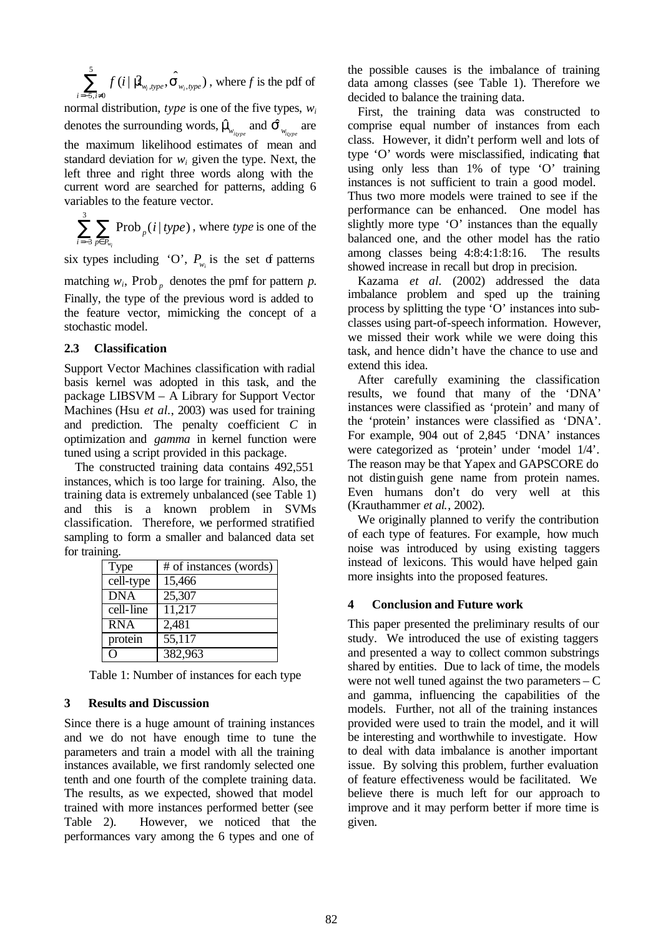5  $, type, \rightarrow w_i,$  $5, i\neq 0$  $\sum_{i=-5, i\neq 0}^{\mathcal{I}}f(i \mid \hat{\textbf{\textit{M}}}_{w_{i},type}, \hat{\textbf{s}}_{w_{i},type})$  $f$  (**i**  $|$  **ill**<sub>y type</sub>, **S**  $\sum_{j=5,\,i\neq 0} f(i \,|\, \hat{\bm{m}}_{w_i, type}, \hat{\bm{s}}_{w_i, type})$  , where  $f$  is the pdf of

normal distribution, *type* is one of the five types, *w<sup>i</sup>* denotes the surrounding words,  $\hat{\bm{m}}_{v_{ispre}}$  and  $\hat{\bm{S}}_{w_{ispre}}$  are the maximum likelihood estimates of mean and standard deviation for  $w_i$  given the type. Next, the left three and right three words along with the current word are searched for patterns, adding 6 variables to the feature vector.

3 3 Prob<sub>n</sub> $(i | type)$ *wi p*  $i = -3$   $p \in P$ *i type*  $\sum_{i=-3}$   $\sum_{p \in P_{w}}$  Prob<sub>p</sub>(*i* | *type*), where *type* is one of the

six types including 'O',  $P_{w_i}$  is the set of patterns

matching  $w_i$ , Prob<sub>p</sub> denotes the pmf for pattern *p*. Finally, the type of the previous word is added to the feature vector, mimicking the concept of a stochastic model.

#### **2.3 Classification**

Support Vector Machines classification with radial basis kernel was adopted in this task, and the package LIBSVM – A Library for Support Vector Machines (Hsu *et al.*, 2003) was used for training and prediction. The penalty coefficient *C* in optimization and *gamma* in kernel function were tuned using a script provided in this package.

The constructed training data contains 492,551 instances, which is too large for training. Also, the training data is extremely unbalanced (see Table 1) and this is a known problem in SVMs classification. Therefore, we performed stratified sampling to form a smaller and balanced data set for training.

| Type       | # of instances (words) |  |  |  |  |  |
|------------|------------------------|--|--|--|--|--|
| cell-type  | 15,466                 |  |  |  |  |  |
| <b>DNA</b> | 25,307                 |  |  |  |  |  |
| cell-line  | 11,217                 |  |  |  |  |  |
| <b>RNA</b> | 2,481                  |  |  |  |  |  |
| protein    | $\overline{55,117}$    |  |  |  |  |  |
|            | 382,963                |  |  |  |  |  |

Table 1: Number of instances for each type

## **3 Results and Discussion**

Since there is a huge amount of training instances and we do not have enough time to tune the parameters and train a model with all the training instances available, we first randomly selected one tenth and one fourth of the complete training data. The results, as we expected, showed that model trained with more instances performed better (see Table 2). However, we noticed that the performances vary among the 6 types and one of

the possible causes is the imbalance of training data among classes (see Table 1). Therefore we decided to balance the training data.

First, the training data was constructed to comprise equal number of instances from each class. However, it didn't perform well and lots of type 'O' words were misclassified, indicating that using only less than 1% of type 'O' training instances is not sufficient to train a good model. Thus two more models were trained to see if the performance can be enhanced. One model has slightly more type 'O' instances than the equally balanced one, and the other model has the ratio among classes being 4:8:4:1:8:16. The results showed increase in recall but drop in precision.

Kazama *et al.* (2002) addressed the data imbalance problem and sped up the training process by splitting the type 'O' instances into subclasses using part-of-speech information. However, we missed their work while we were doing this task, and hence didn't have the chance to use and extend this idea.

After carefully examining the classification results, we found that many of the 'DNA' instances were classified as 'protein' and many of the 'protein' instances were classified as 'DNA'. For example, 904 out of 2,845 'DNA' instances were categorized as 'protein' under 'model 1/4'. The reason may be that Yapex and GAPSCORE do not distinguish gene name from protein names. Even humans don't do very well at this (Krauthammer *et al.*, 2002).

We originally planned to verify the contribution of each type of features. For example, how much noise was introduced by using existing taggers instead of lexicons. This would have helped gain more insights into the proposed features.

## **4 Conclusion and Future work**

This paper presented the preliminary results of our study. We introduced the use of existing taggers and presented a way to collect common substrings shared by entities. Due to lack of time, the models were not well tuned against the two parameters – C and gamma, influencing the capabilities of the models. Further, not all of the training instances provided were used to train the model, and it will be interesting and worthwhile to investigate. How to deal with data imbalance is another important issue. By solving this problem, further evaluation of feature effectiveness would be facilitated. We believe there is much left for our approach to improve and it may perform better if more time is given.